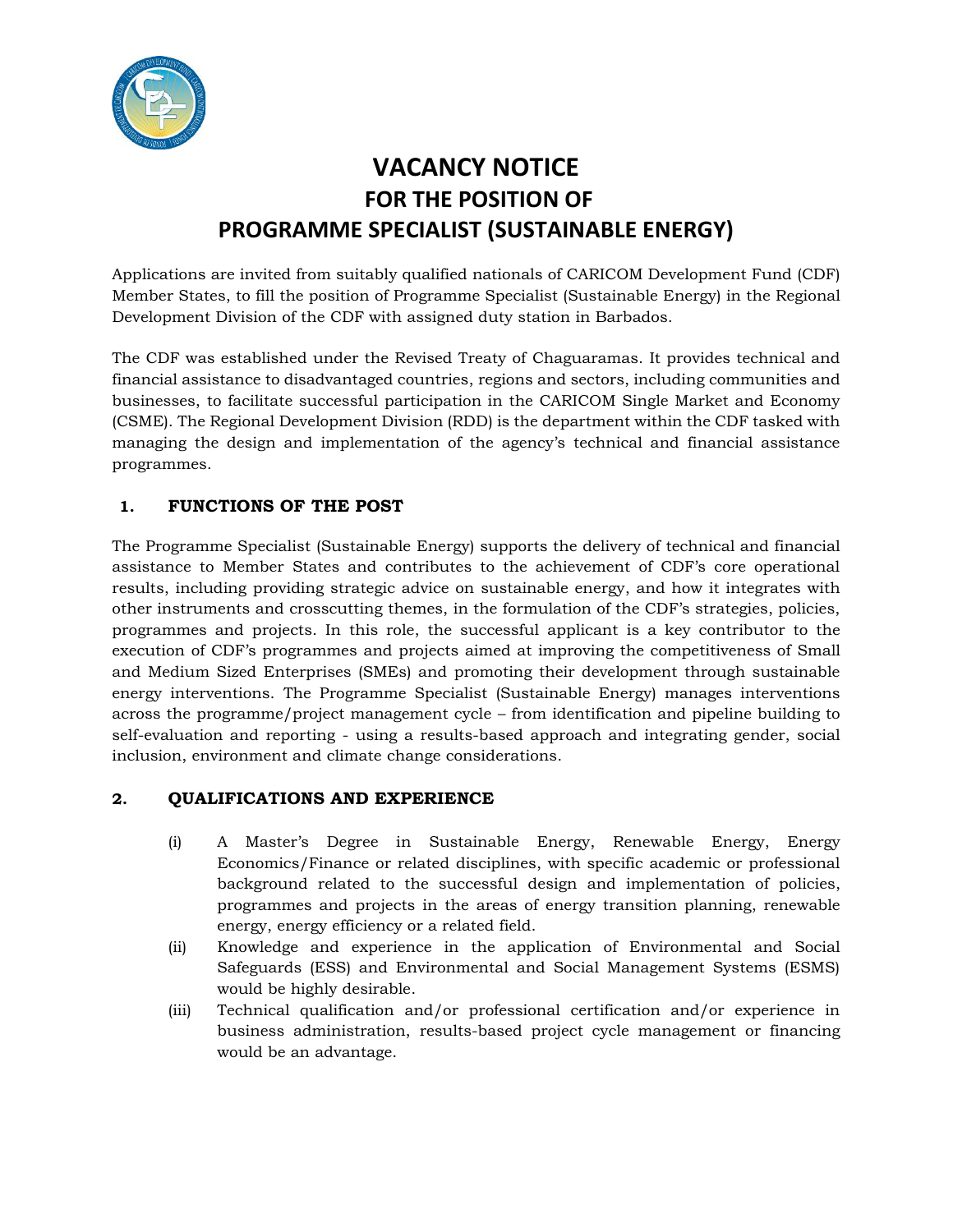

# **VACANCY NOTICE FOR THE POSITION OF PROGRAMME SPECIALIST (SUSTAINABLE ENERGY)**

Applications are invited from suitably qualified nationals of CARICOM Development Fund (CDF) Member States, to fill the position of Programme Specialist (Sustainable Energy) in the Regional Development Division of the CDF with assigned duty station in Barbados.

The CDF was established under the Revised Treaty of Chaguaramas. It provides technical and financial assistance to disadvantaged countries, regions and sectors, including communities and businesses, to facilitate successful participation in the CARICOM Single Market and Economy (CSME). The Regional Development Division (RDD) is the department within the CDF tasked with managing the design and implementation of the agency's technical and financial assistance programmes.

# **1. FUNCTIONS OF THE POST**

The Programme Specialist (Sustainable Energy) supports the delivery of technical and financial assistance to Member States and contributes to the achievement of CDF's core operational results, including providing strategic advice on sustainable energy, and how it integrates with other instruments and crosscutting themes, in the formulation of the CDF's strategies, policies, programmes and projects. In this role, the successful applicant is a key contributor to the execution of CDF's programmes and projects aimed at improving the competitiveness of Small and Medium Sized Enterprises (SMEs) and promoting their development through sustainable energy interventions. The Programme Specialist (Sustainable Energy) manages interventions across the programme/project management cycle – from identification and pipeline building to self-evaluation and reporting - using a results-based approach and integrating gender, social inclusion, environment and climate change considerations.

## **2. QUALIFICATIONS AND EXPERIENCE**

- (i) A Master's Degree in Sustainable Energy, Renewable Energy, Energy Economics/Finance or related disciplines, with specific academic or professional background related to the successful design and implementation of policies, programmes and projects in the areas of energy transition planning, renewable energy, energy efficiency or a related field.
- (ii) Knowledge and experience in the application of Environmental and Social Safeguards (ESS) and Environmental and Social Management Systems (ESMS) would be highly desirable.
- (iii) Technical qualification and/or professional certification and/or experience in business administration, results-based project cycle management or financing would be an advantage.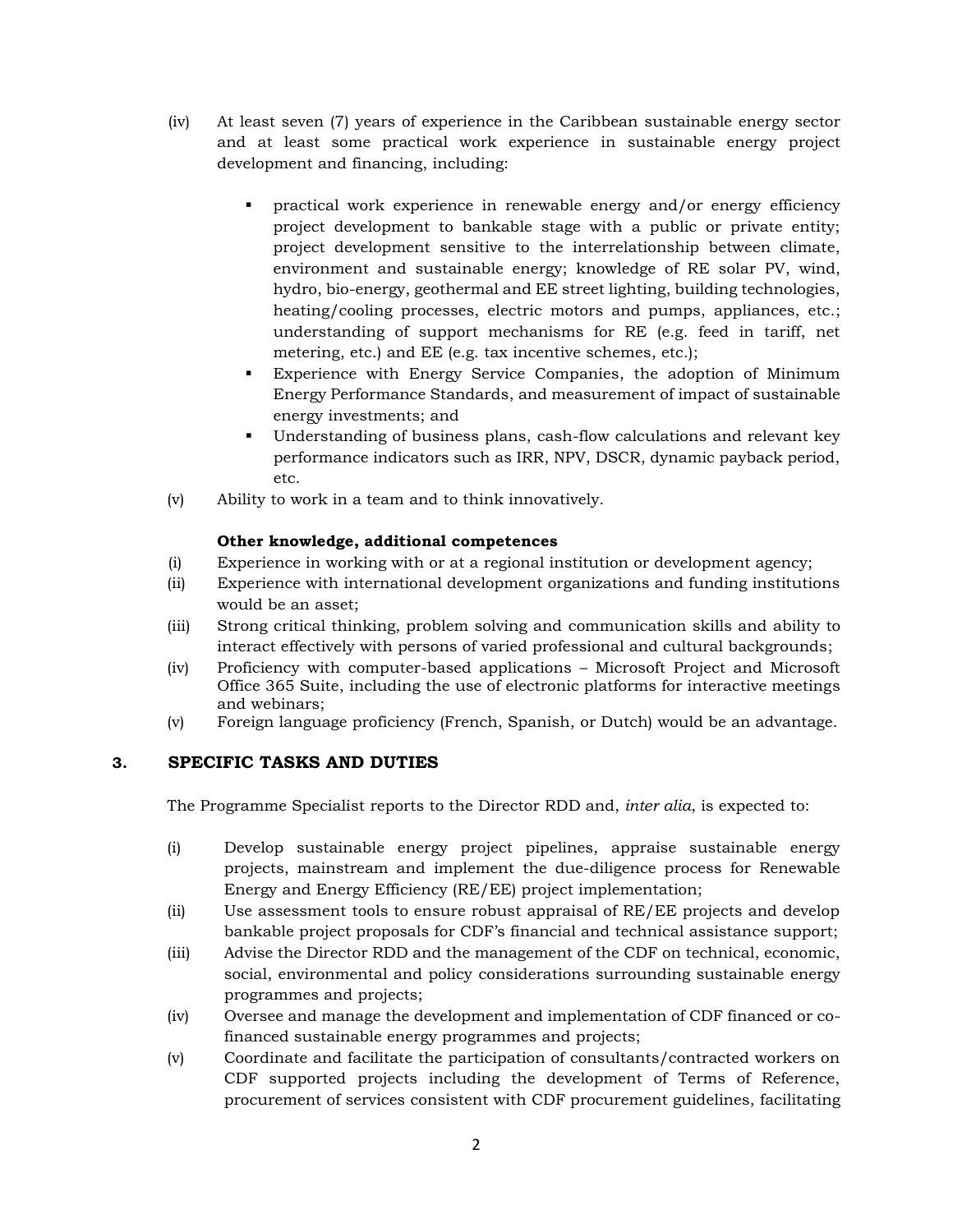- (iv) At least seven (7) years of experience in the Caribbean sustainable energy sector and at least some practical work experience in sustainable energy project development and financing, including:
	- practical work experience in renewable energy and/or energy efficiency project development to bankable stage with a public or private entity; project development sensitive to the interrelationship between climate, environment and sustainable energy; knowledge of RE solar PV, wind, hydro, bio-energy, geothermal and EE street lighting, building technologies, heating/cooling processes, electric motors and pumps, appliances, etc.; understanding of support mechanisms for RE (e.g. feed in tariff, net metering, etc.) and EE (e.g. tax incentive schemes, etc.);
	- Experience with Energy Service Companies, the adoption of Minimum Energy Performance Standards, and measurement of impact of sustainable energy investments; and
	- Understanding of business plans, cash-flow calculations and relevant key performance indicators such as IRR, NPV, DSCR, dynamic payback period, etc.
- (v) Ability to work in a team and to think innovatively.

## **Other knowledge, additional competences**

- (i) Experience in working with or at a regional institution or development agency;
- (ii) Experience with international development organizations and funding institutions would be an asset;
- (iii) Strong critical thinking, problem solving and communication skills and ability to interact effectively with persons of varied professional and cultural backgrounds;
- (iv) Proficiency with computer-based applications Microsoft Project and Microsoft Office 365 Suite, including the use of electronic platforms for interactive meetings and webinars;
- (v) Foreign language proficiency (French, Spanish, or Dutch) would be an advantage.

## **3. SPECIFIC TASKS AND DUTIES**

The Programme Specialist reports to the Director RDD and, *inter alia*, is expected to:

- (i) Develop sustainable energy project pipelines, appraise sustainable energy projects, mainstream and implement the due-diligence process for Renewable Energy and Energy Efficiency (RE/EE) project implementation;
- (ii) Use assessment tools to ensure robust appraisal of RE/EE projects and develop bankable project proposals for CDF's financial and technical assistance support;
- (iii) Advise the Director RDD and the management of the CDF on technical, economic, social, environmental and policy considerations surrounding sustainable energy programmes and projects;
- (iv) Oversee and manage the development and implementation of CDF financed or cofinanced sustainable energy programmes and projects;
- (v) Coordinate and facilitate the participation of consultants/contracted workers on CDF supported projects including the development of Terms of Reference, procurement of services consistent with CDF procurement guidelines, facilitating